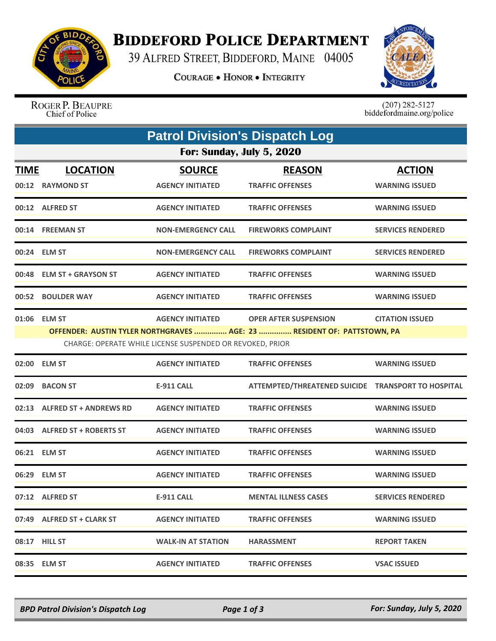

## **BIDDEFORD POLICE DEPARTMENT**

39 ALFRED STREET, BIDDEFORD, MAINE 04005

**COURAGE . HONOR . INTEGRITY** 



ROGER P. BEAUPRE Chief of Police

 $(207)$  282-5127<br>biddefordmaine.org/police

| <b>Patrol Division's Dispatch Log</b> |                                     |                                                                                      |                                                                                                         |                                        |  |  |  |  |
|---------------------------------------|-------------------------------------|--------------------------------------------------------------------------------------|---------------------------------------------------------------------------------------------------------|----------------------------------------|--|--|--|--|
| For: Sunday, July 5, 2020             |                                     |                                                                                      |                                                                                                         |                                        |  |  |  |  |
| <b>TIME</b>                           | <b>LOCATION</b><br>00:12 RAYMOND ST | <b>SOURCE</b><br><b>AGENCY INITIATED</b>                                             | <b>REASON</b><br><b>TRAFFIC OFFENSES</b>                                                                | <b>ACTION</b><br><b>WARNING ISSUED</b> |  |  |  |  |
|                                       | 00:12 ALFRED ST                     | <b>AGENCY INITIATED</b>                                                              | <b>TRAFFIC OFFENSES</b>                                                                                 | <b>WARNING ISSUED</b>                  |  |  |  |  |
|                                       | 00:14 FREEMAN ST                    | <b>NON-EMERGENCY CALL</b>                                                            | <b>FIREWORKS COMPLAINT</b>                                                                              | <b>SERVICES RENDERED</b>               |  |  |  |  |
|                                       | 00:24 ELM ST                        | <b>NON-EMERGENCY CALL</b>                                                            | <b>FIREWORKS COMPLAINT</b>                                                                              | <b>SERVICES RENDERED</b>               |  |  |  |  |
| 00:48                                 | <b>ELM ST + GRAYSON ST</b>          | <b>AGENCY INITIATED</b>                                                              | <b>TRAFFIC OFFENSES</b>                                                                                 | <b>WARNING ISSUED</b>                  |  |  |  |  |
|                                       | 00:52 BOULDER WAY                   | <b>AGENCY INITIATED</b>                                                              | <b>TRAFFIC OFFENSES</b>                                                                                 | <b>WARNING ISSUED</b>                  |  |  |  |  |
|                                       | 01:06 ELM ST                        | <b>AGENCY INITIATED</b><br>CHARGE: OPERATE WHILE LICENSE SUSPENDED OR REVOKED, PRIOR | <b>OPER AFTER SUSPENSION</b><br>OFFENDER: AUSTIN TYLER NORTHGRAVES  AGE: 23  RESIDENT OF: PATTSTOWN, PA | <b>CITATION ISSUED</b>                 |  |  |  |  |
| 02:00                                 | <b>ELM ST</b>                       | <b>AGENCY INITIATED</b>                                                              | <b>TRAFFIC OFFENSES</b>                                                                                 | <b>WARNING ISSUED</b>                  |  |  |  |  |
| 02:09                                 | <b>BACON ST</b>                     | <b>E-911 CALL</b>                                                                    | ATTEMPTED/THREATENED SUICIDE TRANSPORT TO HOSPITAL                                                      |                                        |  |  |  |  |
| 02:13                                 | <b>ALFRED ST + ANDREWS RD</b>       | <b>AGENCY INITIATED</b>                                                              | <b>TRAFFIC OFFENSES</b>                                                                                 | <b>WARNING ISSUED</b>                  |  |  |  |  |
|                                       | 04:03 ALFRED ST + ROBERTS ST        | <b>AGENCY INITIATED</b>                                                              | <b>TRAFFIC OFFENSES</b>                                                                                 | <b>WARNING ISSUED</b>                  |  |  |  |  |
|                                       | 06:21 ELM ST                        | <b>AGENCY INITIATED</b>                                                              | <b>TRAFFIC OFFENSES</b>                                                                                 | <b>WARNING ISSUED</b>                  |  |  |  |  |
|                                       | 06:29 ELM ST                        | <b>AGENCY INITIATED</b>                                                              | <b>TRAFFIC OFFENSES</b>                                                                                 | <b>WARNING ISSUED</b>                  |  |  |  |  |
|                                       | 07:12 ALFRED ST                     | E-911 CALL                                                                           | <b>MENTAL ILLNESS CASES</b>                                                                             | <b>SERVICES RENDERED</b>               |  |  |  |  |
|                                       | 07:49 ALFRED ST + CLARK ST          | <b>AGENCY INITIATED</b>                                                              | <b>TRAFFIC OFFENSES</b>                                                                                 | <b>WARNING ISSUED</b>                  |  |  |  |  |
|                                       | 08:17 HILL ST                       | <b>WALK-IN AT STATION</b>                                                            | <b>HARASSMENT</b>                                                                                       | <b>REPORT TAKEN</b>                    |  |  |  |  |
|                                       | 08:35 ELM ST                        | <b>AGENCY INITIATED</b>                                                              | <b>TRAFFIC OFFENSES</b>                                                                                 | <b>VSAC ISSUED</b>                     |  |  |  |  |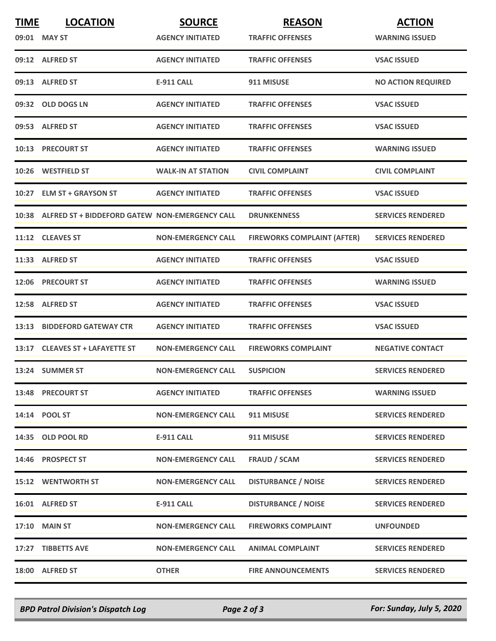| <b>TIME</b> | <b>LOCATION</b>                                      | <b>SOURCE</b>             | <b>REASON</b>                      | <b>ACTION</b>             |
|-------------|------------------------------------------------------|---------------------------|------------------------------------|---------------------------|
|             | 09:01 MAY ST                                         | <b>AGENCY INITIATED</b>   | <b>TRAFFIC OFFENSES</b>            | <b>WARNING ISSUED</b>     |
|             | 09:12 ALFRED ST                                      | <b>AGENCY INITIATED</b>   | <b>TRAFFIC OFFENSES</b>            | <b>VSAC ISSUED</b>        |
|             | 09:13 ALFRED ST                                      | <b>E-911 CALL</b>         | 911 MISUSE                         | <b>NO ACTION REQUIRED</b> |
|             | 09:32 OLD DOGS LN                                    | <b>AGENCY INITIATED</b>   | <b>TRAFFIC OFFENSES</b>            | <b>VSAC ISSUED</b>        |
|             | 09:53 ALFRED ST                                      | <b>AGENCY INITIATED</b>   | <b>TRAFFIC OFFENSES</b>            | <b>VSAC ISSUED</b>        |
|             | 10:13 PRECOURT ST                                    | <b>AGENCY INITIATED</b>   | <b>TRAFFIC OFFENSES</b>            | <b>WARNING ISSUED</b>     |
|             | 10:26 WESTFIELD ST                                   | <b>WALK-IN AT STATION</b> | <b>CIVIL COMPLAINT</b>             | <b>CIVIL COMPLAINT</b>    |
|             | 10:27 ELM ST + GRAYSON ST                            | <b>AGENCY INITIATED</b>   | <b>TRAFFIC OFFENSES</b>            | <b>VSAC ISSUED</b>        |
|             | 10:38 ALFRED ST + BIDDEFORD GATEW NON-EMERGENCY CALL |                           | <b>DRUNKENNESS</b>                 | <b>SERVICES RENDERED</b>  |
|             | 11:12 CLEAVES ST                                     | <b>NON-EMERGENCY CALL</b> | <b>FIREWORKS COMPLAINT (AFTER)</b> | <b>SERVICES RENDERED</b>  |
|             | 11:33 ALFRED ST                                      | <b>AGENCY INITIATED</b>   | <b>TRAFFIC OFFENSES</b>            | <b>VSAC ISSUED</b>        |
|             | 12:06 PRECOURT ST                                    | <b>AGENCY INITIATED</b>   | <b>TRAFFIC OFFENSES</b>            | <b>WARNING ISSUED</b>     |
|             | 12:58 ALFRED ST                                      | <b>AGENCY INITIATED</b>   | <b>TRAFFIC OFFENSES</b>            | <b>VSAC ISSUED</b>        |
|             | 13:13 BIDDEFORD GATEWAY CTR                          | <b>AGENCY INITIATED</b>   | <b>TRAFFIC OFFENSES</b>            | <b>VSAC ISSUED</b>        |
|             | 13:17 CLEAVES ST + LAFAYETTE ST                      | <b>NON-EMERGENCY CALL</b> | <b>FIREWORKS COMPLAINT</b>         | <b>NEGATIVE CONTACT</b>   |
|             | 13:24 SUMMER ST                                      | <b>NON-EMERGENCY CALL</b> | <b>SUSPICION</b>                   | <b>SERVICES RENDERED</b>  |
|             | 13:48 PRECOURT ST                                    | <b>AGENCY INITIATED</b>   | <b>TRAFFIC OFFENSES</b>            | <b>WARNING ISSUED</b>     |
|             | 14:14 POOL ST                                        | <b>NON-EMERGENCY CALL</b> | 911 MISUSE                         | <b>SERVICES RENDERED</b>  |
|             | 14:35 OLD POOL RD                                    | <b>E-911 CALL</b>         | 911 MISUSE                         | <b>SERVICES RENDERED</b>  |
|             | 14:46 PROSPECT ST                                    | <b>NON-EMERGENCY CALL</b> | <b>FRAUD / SCAM</b>                | <b>SERVICES RENDERED</b>  |
|             | <b>15:12 WENTWORTH ST</b>                            | <b>NON-EMERGENCY CALL</b> | <b>DISTURBANCE / NOISE</b>         | <b>SERVICES RENDERED</b>  |
|             | 16:01 ALFRED ST                                      | <b>E-911 CALL</b>         | <b>DISTURBANCE / NOISE</b>         | <b>SERVICES RENDERED</b>  |
|             | <b>17:10 MAIN ST</b>                                 | <b>NON-EMERGENCY CALL</b> | <b>FIREWORKS COMPLAINT</b>         | <b>UNFOUNDED</b>          |
|             | 17:27 TIBBETTS AVE                                   | <b>NON-EMERGENCY CALL</b> | <b>ANIMAL COMPLAINT</b>            | <b>SERVICES RENDERED</b>  |
|             | 18:00 ALFRED ST                                      | <b>OTHER</b>              | <b>FIRE ANNOUNCEMENTS</b>          | <b>SERVICES RENDERED</b>  |

*BPD Patrol Division's Dispatch Log Page 2 of 3 For: Sunday, July 5, 2020*